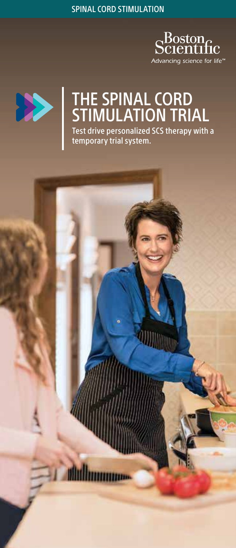SPINAL CORD STIMULATION





# THE SPINAL CORD STIMULATION TRIAL Test drive personalized SCS therapy with a

temporary trial system.

**AUDITION** 

**Mulhammoo**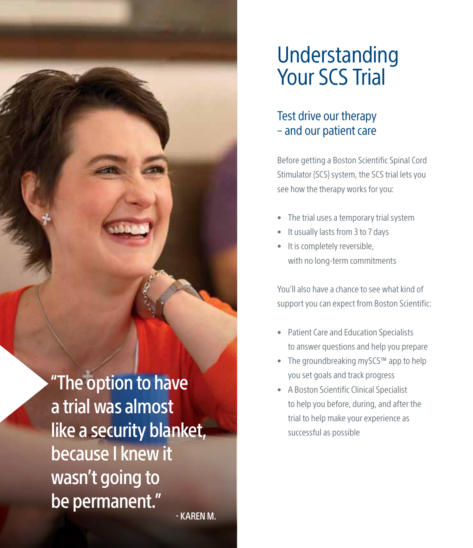"The option to have a trial was almost like a security blanket, because I knew it wasn't going to be permanent." - KAREN M.

# Understanding Your SCS Trial

# Test drive our therapy – and our patient care

Before getting a Boston Scientific Spinal Cord Stimulator (SCS) system, the SCS trial lets you see how the therapy works for you:

- The trial uses a temporary trial system
- It usually lasts from 3 to 7 days
- It is completely reversible, with no long-term commitments

You'll also have a chance to see what kind of support you can expect from Boston Scientific:

- Patient Care and Education Specialists to answer questions and help you prepare
- The groundbreaking mySCS™ app to help you set goals and track progress
- A Boston Scientific Clinical Specialist to help you before, during, and after the trial to help make your experience as successful as possible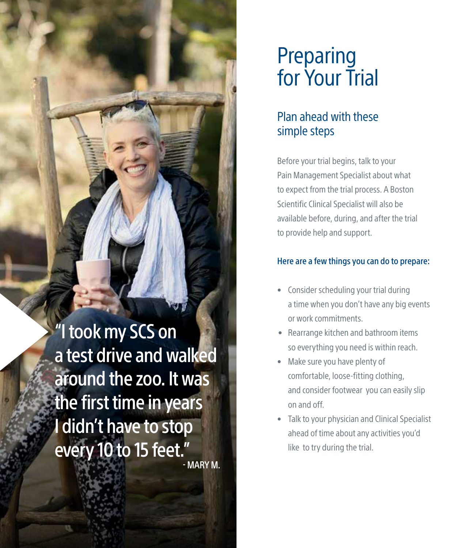"I took my SCS on a test drive and walked around the zoo. It was the first time in years I didn't have to stop every 10 to 15 feet." - MARY M.

# Preparing for Your Trial

# Plan ahead with these simple steps

Before your trial begins, talk to your Pain Management Specialist about what to expect from the trial process. A Boston Scientific Clinical Specialist will also be available before, during, and after the trial to provide help and support.

### Here are a few things you can do to prepare:

- Consider scheduling your trial during a time when you don't have any big events or work commitments.
- Rearrange kitchen and bathroom items so everything you need is within reach.
- Make sure you have plenty of comfortable, loose-fitting clothing, and consider footwear you can easily slip on and off.
- Talk to your physician and Clinical Specialist ahead of time about any activities you'd like to try during the trial.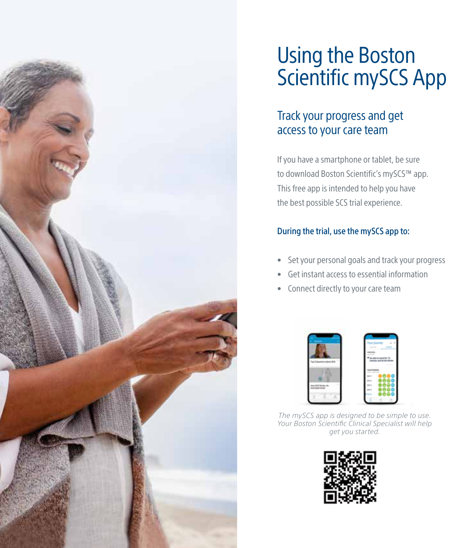

# Using the Boston Scientific mySCS App

# Track your progress and get access to your care team

If you have a smartphone or tablet, be sure to download Boston Scientific's mySCS™ app. This free app is intended to help you have the best possible SCS trial experience.

### During the trial, use the mySCS app to:

- Set your personal goals and track your progress
- Get instant access to essential information
- Connect directly to your care team



*The mySCS app is designed to be simple to use. Your Boston Scientific Clinical Specialist will help get you started.*

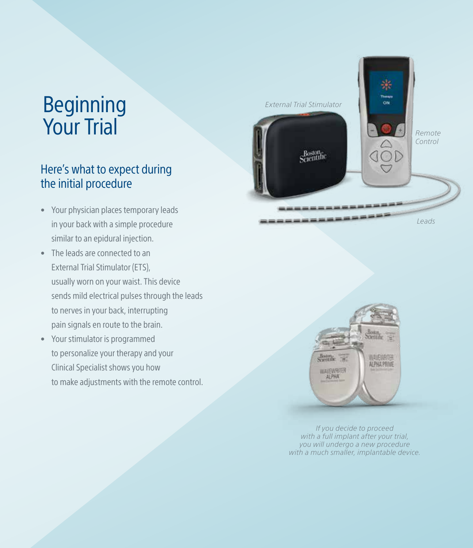# Beginning Your Trial

# Here's what to expect during the initial procedure

- Your physician places temporary leads in your back with a simple procedure similar to an epidural injection.
- The leads are connected to an External Trial Stimulator (ETS), usually worn on your waist. This device sends mild electrical pulses through the leads to nerves in your back, interrupting pain signals en route to the brain.
- Your stimulator is programmed to personalize your therapy and your Clinical Specialist shows you how to make adjustments with the remote control.





*If you decide to proceed with a full implant after your trial, you will undergo a new procedure with a much smaller, implantable device.*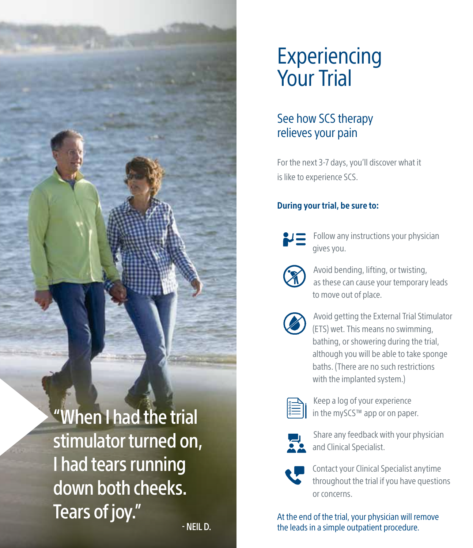

# Experiencing Your Trial

# See how SCS therapy relieves your pain

For the next 3-7 days, you'll discover what it is like to experience SCS.

### During your trial, be sure to:



Follow any instructions your physician gives you.



Avoid bending, lifting, or twisting, as these can cause your temporary leads to move out of place.



Avoid getting the External Trial Stimulator (ETS) wet. This means no swimming, bathing, or showering during the trial, although you will be able to take sponge baths. (There are no such restrictions with the implanted system.)



Keep a log of your experience in the mySCS™ app or on paper.



Share any feedback with your physician and Clinical Specialist.



Contact your Clinical Specialist anytime throughout the trial if you have questions or concerns.

At the end of the trial, your physician will remove the leads in a simple outpatient procedure.

- NEIL D.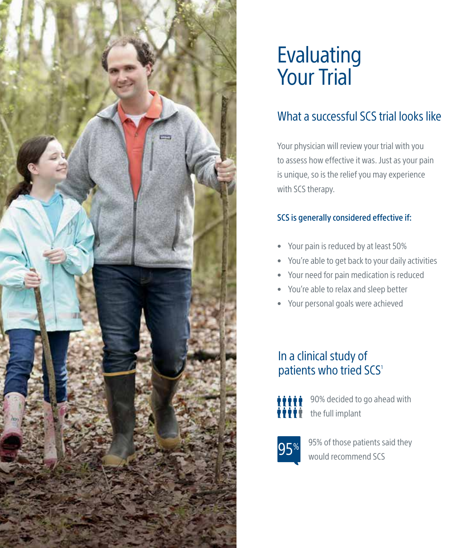

# Evaluating Your Trial

# What a successful SCS trial looks like

Your physician will review your trial with you to assess how effective it was. Just as your pain is unique, so is the relief you may experience with SCS therapy.

### SCS is generally considered effective if:

- Your pain is reduced by at least 50%
- You're able to get back to your daily activities
- Your need for pain medication is reduced
- You're able to relax and sleep better
- Your personal goals were achieved

# In a clinical study of patients who tried SCS<sup>1</sup>



90% decided to go ahead with the full implant



95% of those patients said they would recommend SCS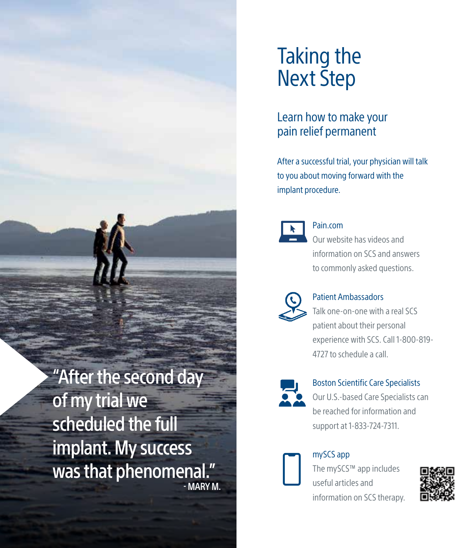# "After the second day

of my trial we scheduled the full implant. My success was that phenomenal." - MARY M.

# Taking the Next Step

# Learn how to make your pain relief permanent

After a successful trial, your physician will talk to you about moving forward with the implant procedure.



# Pain.com

Our website has videos and information on SCS and answers to commonly asked questions.



### Patient Ambassadors

Talk one-on-one with a real SCS patient about their personal experience with SCS. Call 1-800-819- 4727 to schedule a call.



# Boston Scientific Care Specialists

Our U.S.-based Care Specialists can be reached for information and support at 1-833-724-7311.



# mySCS app

The mySCS™ app includes useful articles and information on SCS therapy.